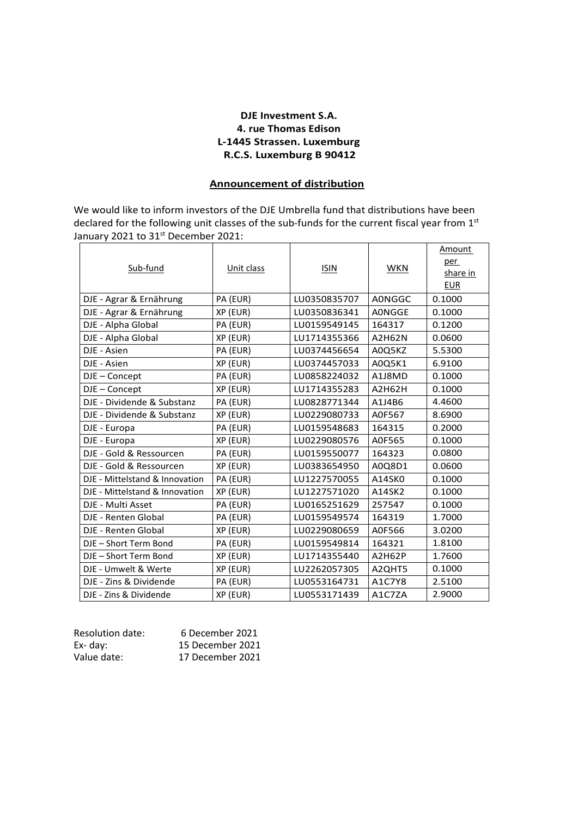## **DJE Investment S.A. 4. rue Thomas Edison L-1445 Strassen. Luxemburg R.C.S. Luxemburg B 90412**

## **Announcement of distribution**

We would like to inform investors of the DJE Umbrella fund that distributions have been declared for the following unit classes of the sub-funds for the current fiscal year from 1st January 2021 to 31<sup>st</sup> December 2021:

|                                |            |              |               | Amount     |
|--------------------------------|------------|--------------|---------------|------------|
| Sub-fund                       | Unit class | <b>ISIN</b>  | <b>WKN</b>    | per        |
|                                |            |              |               | share in   |
|                                |            |              |               | <b>EUR</b> |
| DJE - Agrar & Ernährung        | PA (EUR)   | LU0350835707 | <b>AONGGC</b> | 0.1000     |
| DJE - Agrar & Ernährung        | XP (EUR)   | LU0350836341 | <b>AONGGE</b> | 0.1000     |
| DJE - Alpha Global             | PA (EUR)   | LU0159549145 | 164317        | 0.1200     |
| DJE - Alpha Global             | XP (EUR)   | LU1714355366 | A2H62N        | 0.0600     |
| DJE - Asien                    | PA (EUR)   | LU0374456654 | A0Q5KZ        | 5.5300     |
| DJE - Asien                    | XP (EUR)   | LU0374457033 | A0Q5K1        | 6.9100     |
| DJE - Concept                  | PA (EUR)   | LU0858224032 | A1J8MD        | 0.1000     |
| DJE - Concept                  | XP (EUR)   | LU1714355283 | A2H62H        | 0.1000     |
| DJE - Dividende & Substanz     | PA (EUR)   | LU0828771344 | A1J4B6        | 4.4600     |
| DJE - Dividende & Substanz     | XP (EUR)   | LU0229080733 | A0F567        | 8.6900     |
| DJE - Europa                   | PA (EUR)   | LU0159548683 | 164315        | 0.2000     |
| DJE - Europa                   | XP (EUR)   | LU0229080576 | A0F565        | 0.1000     |
| DJE - Gold & Ressourcen        | PA (EUR)   | LU0159550077 | 164323        | 0.0800     |
| DJE - Gold & Ressourcen        | XP (EUR)   | LU0383654950 | A0Q8D1        | 0.0600     |
| DJE - Mittelstand & Innovation | PA (EUR)   | LU1227570055 | A14SK0        | 0.1000     |
| DJE - Mittelstand & Innovation | XP (EUR)   | LU1227571020 | A14SK2        | 0.1000     |
| DJE - Multi Asset              | PA (EUR)   | LU0165251629 | 257547        | 0.1000     |
| DJE - Renten Global            | PA (EUR)   | LU0159549574 | 164319        | 1.7000     |
| DJE - Renten Global            | XP (EUR)   | LU0229080659 | A0F566        | 3.0200     |
| DJE - Short Term Bond          | PA (EUR)   | LU0159549814 | 164321        | 1.8100     |
| DJE - Short Term Bond          | XP (EUR)   | LU1714355440 | A2H62P        | 1.7600     |
| DJE - Umwelt & Werte           | XP (EUR)   | LU2262057305 | A2QHT5        | 0.1000     |
| DJE - Zins & Dividende         | PA (EUR)   | LU0553164731 | A1C7Y8        | 2.5100     |
| DJE - Zins & Dividende         | XP (EUR)   | LU0553171439 | A1C7ZA        | 2.9000     |

| Resolution date: | 6 December 2021  |
|------------------|------------------|
| Ex- day:         | 15 December 2021 |
| Value date:      | 17 December 2021 |